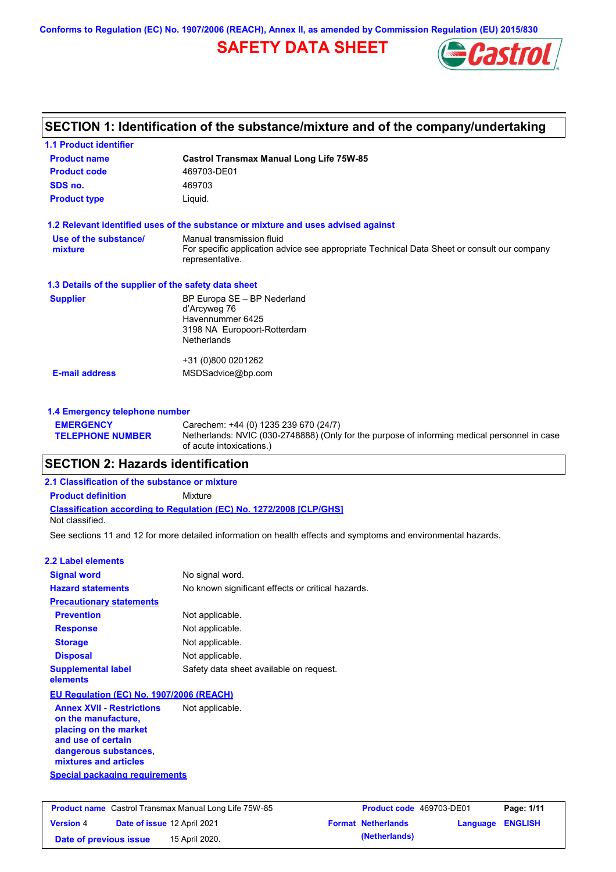**Conforms to Regulation (EC) No. 1907/2006 (REACH), Annex II, as amended by Commission Regulation (EU) 2015/830**

# **SAFETY DATA SHEET**



# **SECTION 1: Identification of the substance/mixture and of the company/undertaking**

| <b>1.1 Product identifier</b>                        |                                                                                                                |
|------------------------------------------------------|----------------------------------------------------------------------------------------------------------------|
| <b>Product name</b>                                  | <b>Castrol Transmax Manual Long Life 75W-85</b>                                                                |
| <b>Product code</b>                                  | 469703-DE01                                                                                                    |
| SDS no.                                              | 469703                                                                                                         |
| <b>Product type</b>                                  | Liquid.                                                                                                        |
|                                                      | 1.2 Relevant identified uses of the substance or mixture and uses advised against                              |
| Use of the substance/                                | Manual transmission fluid                                                                                      |
| mixture                                              | For specific application advice see appropriate Technical Data Sheet or consult our company<br>representative. |
| 1.3 Details of the supplier of the safety data sheet |                                                                                                                |
| <b>Supplier</b>                                      | BP Europa SE - BP Nederland                                                                                    |
|                                                      | d'Arcyweg 76<br>Havennummer 6425                                                                               |
|                                                      | 3198 NA Europoort-Rotterdam                                                                                    |
|                                                      | <b>Netherlands</b>                                                                                             |
|                                                      | +31 (0)800 0201262                                                                                             |
| <b>E-mail address</b>                                | MSDSadvice@bp.com                                                                                              |
|                                                      |                                                                                                                |
| 1.4 Emergency telephone number                       |                                                                                                                |

#### **EMERGENCY TELEPHONE NUMBER** Carechem: +44 (0) 1235 239 670 (24/7) Netherlands: NVIC (030-2748888) (Only for the purpose of informing medical personnel in case of acute intoxications.)

### **SECTION 2: Hazards identification**

### **Classification according to Regulation (EC) No. 1272/2008 [CLP/GHS] 2.1 Classification of the substance or mixture Product definition** Mixture Not classified.

See sections 11 and 12 for more detailed information on health effects and symptoms and environmental hazards.

| 2.2 Label elements                                                                                                                                                                                |                                                   |
|---------------------------------------------------------------------------------------------------------------------------------------------------------------------------------------------------|---------------------------------------------------|
| <b>Signal word</b>                                                                                                                                                                                | No signal word.                                   |
| <b>Hazard statements</b>                                                                                                                                                                          | No known significant effects or critical hazards. |
| <b>Precautionary statements</b>                                                                                                                                                                   |                                                   |
| <b>Prevention</b>                                                                                                                                                                                 | Not applicable.                                   |
| <b>Response</b>                                                                                                                                                                                   | Not applicable.                                   |
| <b>Storage</b>                                                                                                                                                                                    | Not applicable.                                   |
| <b>Disposal</b>                                                                                                                                                                                   | Not applicable.                                   |
| <b>Supplemental label</b><br>elements                                                                                                                                                             | Safety data sheet available on request.           |
| EU Regulation (EC) No. 1907/2006 (REACH)                                                                                                                                                          |                                                   |
| <b>Annex XVII - Restrictions</b><br>on the manufacture,<br>placing on the market<br>and use of certain<br>dangerous substances,<br>mixtures and articles<br><b>Special packaging requirements</b> | Not applicable.                                   |
|                                                                                                                                                                                                   |                                                   |

| <b>Product name</b> Castrol Transmax Manual Long Life 75W-85 |  |                             | <b>Product code</b> 469703-DE01 |                         | Page: 1/11 |
|--------------------------------------------------------------|--|-----------------------------|---------------------------------|-------------------------|------------|
| <b>Version 4</b>                                             |  | Date of issue 12 April 2021 | <b>Format Netherlands</b>       | <b>Language ENGLISH</b> |            |
| Date of previous issue                                       |  | 15 April 2020.              | (Netherlands)                   |                         |            |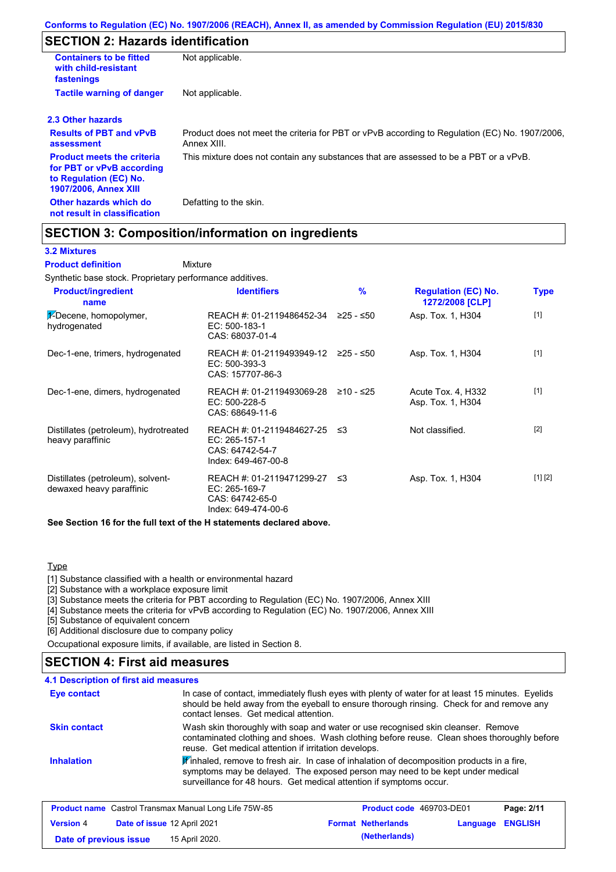# **SECTION 2: Hazards identification**

| <b>Containers to be fitted</b><br>with child-resistant<br>fastenings                                                     | Not applicable.                                                                                               |
|--------------------------------------------------------------------------------------------------------------------------|---------------------------------------------------------------------------------------------------------------|
| <b>Tactile warning of danger</b>                                                                                         | Not applicable.                                                                                               |
| 2.3 Other hazards                                                                                                        |                                                                                                               |
| <b>Results of PBT and vPvB</b><br>assessment                                                                             | Product does not meet the criteria for PBT or vPvB according to Regulation (EC) No. 1907/2006,<br>Annex XIII. |
| <b>Product meets the criteria</b><br>for PBT or vPvB according<br>to Regulation (EC) No.<br><b>1907/2006, Annex XIII</b> | This mixture does not contain any substances that are assessed to be a PBT or a vPvB.                         |
| Other hazards which do<br>not result in classification                                                                   | Defatting to the skin.                                                                                        |

# **SECTION 3: Composition/information on ingredients**

### **3.2 Mixtures**

Mixture **Product definition**

Synthetic base stock. Proprietary performance additives.

| <b>Product/ingredient</b><br>name                             | <b>Identifiers</b>                                                                     | $\frac{9}{6}$ | <b>Regulation (EC) No.</b><br>1272/2008 [CLP] | Type    |
|---------------------------------------------------------------|----------------------------------------------------------------------------------------|---------------|-----------------------------------------------|---------|
| 1-Decene, homopolymer,<br>hydrogenated                        | REACH #: 01-2119486452-34<br>EC: 500-183-1<br>CAS: 68037-01-4                          | ≥25 - ≤50     | Asp. Tox. 1, H304                             | $[1]$   |
| Dec-1-ene, trimers, hydrogenated                              | REACH #: 01-2119493949-12 ≥25 - ≤50<br>$EC: 500-393-3$<br>CAS: 157707-86-3             |               | Asp. Tox. 1, H304                             | $[1]$   |
| Dec-1-ene, dimers, hydrogenated                               | REACH #: 01-2119493069-28<br>EC: 500-228-5<br>CAS: 68649-11-6                          | ≥10 - ≤25     | Acute Tox. 4, H332<br>Asp. Tox. 1, H304       | $[1]$   |
| Distillates (petroleum), hydrotreated<br>heavy paraffinic     | REACH #: 01-2119484627-25<br>$EC: 265-157-1$<br>CAS: 64742-54-7<br>Index: 649-467-00-8 | ב≥            | Not classified.                               | $[2]$   |
| Distillates (petroleum), solvent-<br>dewaxed heavy paraffinic | REACH #: 01-2119471299-27<br>EC: 265-169-7<br>CAS: 64742-65-0<br>Index: 649-474-00-6   | ב≥            | Asp. Tox. 1, H304                             | [1] [2] |

**See Section 16 for the full text of the H statements declared above.**

#### **Type**

[1] Substance classified with a health or environmental hazard

[2] Substance with a workplace exposure limit

[3] Substance meets the criteria for PBT according to Regulation (EC) No. 1907/2006, Annex XIII

[4] Substance meets the criteria for vPvB according to Regulation (EC) No. 1907/2006, Annex XIII

[5] Substance of equivalent concern

[6] Additional disclosure due to company policy

Occupational exposure limits, if available, are listed in Section 8.

# **SECTION 4: First aid measures**

#### **4.1 Description of first aid measures**

| <b>Eye contact</b>  | In case of contact, immediately flush eyes with plenty of water for at least 15 minutes. Eyelids<br>should be held away from the eyeball to ensure thorough rinsing. Check for and remove any<br>contact lenses. Get medical attention.           |
|---------------------|---------------------------------------------------------------------------------------------------------------------------------------------------------------------------------------------------------------------------------------------------|
| <b>Skin contact</b> | Wash skin thoroughly with soap and water or use recognised skin cleanser. Remove<br>contaminated clothing and shoes. Wash clothing before reuse. Clean shoes thoroughly before<br>reuse. Get medical attention if irritation develops.            |
| <b>Inhalation</b>   | Winhaled, remove to fresh air. In case of inhalation of decomposition products in a fire,<br>symptoms may be delayed. The exposed person may need to be kept under medical<br>surveillance for 48 hours. Get medical attention if symptoms occur. |

|                        | <b>Product name</b> Castrol Transmax Manual Long Life 75W-85 | <b>Product code</b> 469703-DE01 |                         | Page: 2/11 |
|------------------------|--------------------------------------------------------------|---------------------------------|-------------------------|------------|
| <b>Version 4</b>       | Date of issue 12 April 2021                                  | <b>Format Netherlands</b>       | <b>Language ENGLISH</b> |            |
| Date of previous issue | 15 April 2020.                                               | (Netherlands)                   |                         |            |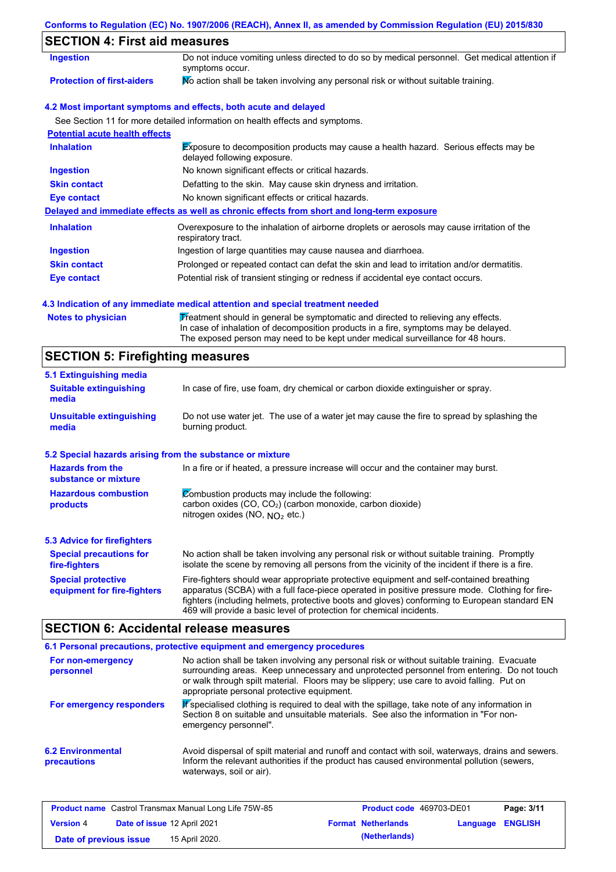### **Conforms to Regulation (EC) No. 1907/2006 (REACH), Annex II, as amended by Commission Regulation (EU) 2015/830**

# **SECTION 4: First aid measures**

| Ingestion                             | Do not induce vomiting unless directed to do so by medical personnel. Get medical attention if<br>symptoms occur.   |
|---------------------------------------|---------------------------------------------------------------------------------------------------------------------|
| <b>Protection of first-aiders</b>     | No action shall be taken involving any personal risk or without suitable training.                                  |
|                                       | 4.2 Most important symptoms and effects, both acute and delayed                                                     |
|                                       | See Section 11 for more detailed information on health effects and symptoms.                                        |
| <b>Potential acute health effects</b> |                                                                                                                     |
| <b>Inhalation</b>                     | Exposure to decomposition products may cause a health hazard. Serious effects may be<br>delayed following exposure. |
| <b>Ingestion</b>                      | No known significant effects or critical hazards.                                                                   |
| <b>Skin contact</b>                   | Defatting to the skin. May cause skin dryness and irritation.                                                       |
| Eye contact                           | No known significant effects or critical hazards.                                                                   |
|                                       | Delayed and immediate effects as well as chronic effects from short and long-term exposure                          |
| <b>Inhalation</b>                     | Overexposure to the inhalation of airborne droplets or aerosols may cause irritation of the<br>respiratory tract.   |
| <b>Ingestion</b>                      | Ingestion of large quantities may cause nausea and diarrhoea.                                                       |
| <b>Skin contact</b>                   | Prolonged or repeated contact can defat the skin and lead to irritation and/or dermatitis.                          |
| Eye contact                           | Potential risk of transient stinging or redness if accidental eye contact occurs.                                   |

### **4.3 Indication of any immediate medical attention and special treatment needed**

Notes to physician **Treatment should in general be symptomatic and directed to relieving any effects.** In case of inhalation of decomposition products in a fire, symptoms may be delayed. The exposed person may need to be kept under medical surveillance for 48 hours.

# **SECTION 5: Firefighting measures**

| 5.1 Extinguishing media                                                                                                                                                                                 |                                                                                                                                                                                                                                                                                                                                                                   |  |  |
|---------------------------------------------------------------------------------------------------------------------------------------------------------------------------------------------------------|-------------------------------------------------------------------------------------------------------------------------------------------------------------------------------------------------------------------------------------------------------------------------------------------------------------------------------------------------------------------|--|--|
| In case of fire, use foam, dry chemical or carbon dioxide extinguisher or spray.<br><b>Suitable extinguishing</b><br>media                                                                              |                                                                                                                                                                                                                                                                                                                                                                   |  |  |
| <b>Unsuitable extinguishing</b><br>media                                                                                                                                                                | Do not use water jet. The use of a water jet may cause the fire to spread by splashing the<br>burning product.                                                                                                                                                                                                                                                    |  |  |
| 5.2 Special hazards arising from the substance or mixture                                                                                                                                               |                                                                                                                                                                                                                                                                                                                                                                   |  |  |
| <b>Hazards from the</b><br>In a fire or if heated, a pressure increase will occur and the container may burst.<br>substance or mixture                                                                  |                                                                                                                                                                                                                                                                                                                                                                   |  |  |
| Combustion products may include the following:<br><b>Hazardous combustion</b><br>carbon oxides (CO, CO <sub>2</sub> ) (carbon monoxide, carbon dioxide)<br>products<br>nitrogen oxides (NO, $NO2$ etc.) |                                                                                                                                                                                                                                                                                                                                                                   |  |  |
| 5.3 Advice for firefighters                                                                                                                                                                             |                                                                                                                                                                                                                                                                                                                                                                   |  |  |
| <b>Special precautions for</b><br>fire-fighters                                                                                                                                                         | No action shall be taken involving any personal risk or without suitable training. Promptly<br>isolate the scene by removing all persons from the vicinity of the incident if there is a fire.                                                                                                                                                                    |  |  |
| <b>Special protective</b><br>equipment for fire-fighters                                                                                                                                                | Fire-fighters should wear appropriate protective equipment and self-contained breathing<br>apparatus (SCBA) with a full face-piece operated in positive pressure mode. Clothing for fire-<br>fighters (including helmets, protective boots and gloves) conforming to European standard EN<br>469 will provide a basic level of protection for chemical incidents. |  |  |

# **SECTION 6: Accidental release measures**

|                                         | 6.1 Personal precautions, protective equipment and emergency procedures                                                                                                                                                                                                                                                             |
|-----------------------------------------|-------------------------------------------------------------------------------------------------------------------------------------------------------------------------------------------------------------------------------------------------------------------------------------------------------------------------------------|
| For non-emergency<br>personnel          | No action shall be taken involving any personal risk or without suitable training. Evacuate<br>surrounding areas. Keep unnecessary and unprotected personnel from entering. Do not touch<br>or walk through spilt material. Floors may be slippery; use care to avoid falling. Put on<br>appropriate personal protective equipment. |
| For emergency responders                | K specialised clothing is required to deal with the spillage, take note of any information in<br>Section 8 on suitable and unsuitable materials. See also the information in "For non-<br>emergency personnel".                                                                                                                     |
| <b>6.2 Environmental</b><br>precautions | Avoid dispersal of spilt material and runoff and contact with soil, waterways, drains and sewers.<br>Inform the relevant authorities if the product has caused environmental pollution (sewers,<br>waterways, soil or air).                                                                                                         |

|                        |                             | <b>Product name</b> Castrol Transmax Manual Long Life 75W-85 | <b>Product code</b> 469703-DE01 |                         | Page: 3/11 |
|------------------------|-----------------------------|--------------------------------------------------------------|---------------------------------|-------------------------|------------|
| <b>Version 4</b>       | Date of issue 12 April 2021 |                                                              | <b>Format Netherlands</b>       | <b>Language ENGLISH</b> |            |
| Date of previous issue |                             | 15 April 2020.                                               | (Netherlands)                   |                         |            |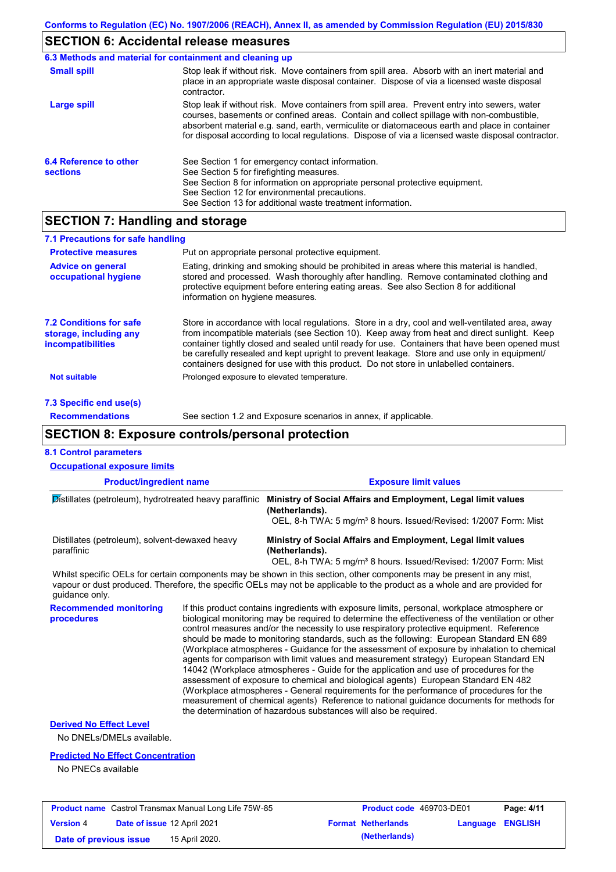# **SECTION 6: Accidental release measures**

| 6.3 Methods and material for containment and cleaning up |                                                                                                                                                                                                                                                                                                                                                                                                |
|----------------------------------------------------------|------------------------------------------------------------------------------------------------------------------------------------------------------------------------------------------------------------------------------------------------------------------------------------------------------------------------------------------------------------------------------------------------|
| <b>Small spill</b>                                       | Stop leak if without risk. Move containers from spill area. Absorb with an inert material and<br>place in an appropriate waste disposal container. Dispose of via a licensed waste disposal<br>contractor.                                                                                                                                                                                     |
| Large spill                                              | Stop leak if without risk. Move containers from spill area. Prevent entry into sewers, water<br>courses, basements or confined areas. Contain and collect spillage with non-combustible,<br>absorbent material e.g. sand, earth, vermiculite or diatomaceous earth and place in container<br>for disposal according to local regulations. Dispose of via a licensed waste disposal contractor. |
| 6.4 Reference to other<br><b>sections</b>                | See Section 1 for emergency contact information.<br>See Section 5 for firefighting measures.<br>See Section 8 for information on appropriate personal protective equipment.<br>See Section 12 for environmental precautions.<br>See Section 13 for additional waste treatment information.                                                                                                     |

# **SECTION 7: Handling and storage**

| 7.1 Precautions for safe handling                                                    |                                                                                                                                                                                                                                                                                                                                                                                                                                                                                          |
|--------------------------------------------------------------------------------------|------------------------------------------------------------------------------------------------------------------------------------------------------------------------------------------------------------------------------------------------------------------------------------------------------------------------------------------------------------------------------------------------------------------------------------------------------------------------------------------|
| <b>Protective measures</b>                                                           | Put on appropriate personal protective equipment.                                                                                                                                                                                                                                                                                                                                                                                                                                        |
| <b>Advice on general</b><br>occupational hygiene                                     | Eating, drinking and smoking should be prohibited in areas where this material is handled.<br>stored and processed. Wash thoroughly after handling. Remove contaminated clothing and<br>protective equipment before entering eating areas. See also Section 8 for additional<br>information on hygiene measures.                                                                                                                                                                         |
| <b>7.2 Conditions for safe</b><br>storage, including any<br><i>incompatibilities</i> | Store in accordance with local requlations. Store in a dry, cool and well-ventilated area, away<br>from incompatible materials (see Section 10). Keep away from heat and direct sunlight. Keep<br>container tightly closed and sealed until ready for use. Containers that have been opened must<br>be carefully resealed and kept upright to prevent leakage. Store and use only in equipment/<br>containers designed for use with this product. Do not store in unlabelled containers. |
| <b>Not suitable</b>                                                                  | Prolonged exposure to elevated temperature.                                                                                                                                                                                                                                                                                                                                                                                                                                              |
| 7.3 Specific end use(s)                                                              |                                                                                                                                                                                                                                                                                                                                                                                                                                                                                          |
| <b>Recommendations</b>                                                               | See section 1.2 and Exposure scenarios in annex, if applicable.                                                                                                                                                                                                                                                                                                                                                                                                                          |

# **SECTION 8: Exposure controls/personal protection**

|                                                                                                                                                                                                                                                                        |  |                                                                                                                                                                                                                                                                                                                                                                                                                                                                                                                                                                                                                                                                                                                                                                                                                                                                                                                                                                                                                            | <b>Exposure limit values</b>                                                 |          |                |
|------------------------------------------------------------------------------------------------------------------------------------------------------------------------------------------------------------------------------------------------------------------------|--|----------------------------------------------------------------------------------------------------------------------------------------------------------------------------------------------------------------------------------------------------------------------------------------------------------------------------------------------------------------------------------------------------------------------------------------------------------------------------------------------------------------------------------------------------------------------------------------------------------------------------------------------------------------------------------------------------------------------------------------------------------------------------------------------------------------------------------------------------------------------------------------------------------------------------------------------------------------------------------------------------------------------------|------------------------------------------------------------------------------|----------|----------------|
| <b>Product/ingredient name</b><br>Distillates (petroleum), hydrotreated heavy paraffinic                                                                                                                                                                               |  | Ministry of Social Affairs and Employment, Legal limit values<br>(Netherlands).<br>OEL, 8-h TWA: 5 mg/m <sup>3</sup> 8 hours. Issued/Revised: 1/2007 Form: Mist                                                                                                                                                                                                                                                                                                                                                                                                                                                                                                                                                                                                                                                                                                                                                                                                                                                            |                                                                              |          |                |
| Distillates (petroleum), solvent-dewaxed heavy<br>paraffinic                                                                                                                                                                                                           |  | Ministry of Social Affairs and Employment, Legal limit values<br>(Netherlands).                                                                                                                                                                                                                                                                                                                                                                                                                                                                                                                                                                                                                                                                                                                                                                                                                                                                                                                                            | OEL, 8-h TWA: 5 mg/m <sup>3</sup> 8 hours. Issued/Revised: 1/2007 Form: Mist |          |                |
| Whilst specific OELs for certain components may be shown in this section, other components may be present in any mist,<br>vapour or dust produced. Therefore, the specific OELs may not be applicable to the product as a whole and are provided for<br>quidance only. |  |                                                                                                                                                                                                                                                                                                                                                                                                                                                                                                                                                                                                                                                                                                                                                                                                                                                                                                                                                                                                                            |                                                                              |          |                |
| <b>Recommended monitoring</b><br>procedures                                                                                                                                                                                                                            |  | If this product contains ingredients with exposure limits, personal, workplace atmosphere or<br>biological monitoring may be required to determine the effectiveness of the ventilation or other<br>control measures and/or the necessity to use respiratory protective equipment. Reference<br>should be made to monitoring standards, such as the following: European Standard EN 689<br>(Workplace atmospheres - Guidance for the assessment of exposure by inhalation to chemical<br>agents for comparison with limit values and measurement strategy) European Standard EN<br>14042 (Workplace atmospheres - Guide for the application and use of procedures for the<br>assessment of exposure to chemical and biological agents) European Standard EN 482<br>(Workplace atmospheres - General requirements for the performance of procedures for the<br>measurement of chemical agents) Reference to national guidance documents for methods for<br>the determination of hazardous substances will also be required. |                                                                              |          |                |
| <b>Derived No Effect Level</b><br>No DNELs/DMELs available.                                                                                                                                                                                                            |  |                                                                                                                                                                                                                                                                                                                                                                                                                                                                                                                                                                                                                                                                                                                                                                                                                                                                                                                                                                                                                            |                                                                              |          |                |
| <b>Predicted No Effect Concentration</b><br>No PNECs available                                                                                                                                                                                                         |  |                                                                                                                                                                                                                                                                                                                                                                                                                                                                                                                                                                                                                                                                                                                                                                                                                                                                                                                                                                                                                            |                                                                              |          |                |
| <b>Product name</b> Castrol Transmax Manual Long Life 75W-85                                                                                                                                                                                                           |  |                                                                                                                                                                                                                                                                                                                                                                                                                                                                                                                                                                                                                                                                                                                                                                                                                                                                                                                                                                                                                            | Product code 469703-DE01                                                     |          | Page: 4/11     |
| Date of issue 12 April 2021<br><b>Version 4</b>                                                                                                                                                                                                                        |  |                                                                                                                                                                                                                                                                                                                                                                                                                                                                                                                                                                                                                                                                                                                                                                                                                                                                                                                                                                                                                            | <b>Format Netherlands</b>                                                    | Language | <b>ENGLISH</b> |

**Date of previous issue 15 April 2020. (Netherlands)** (**Netherlands**)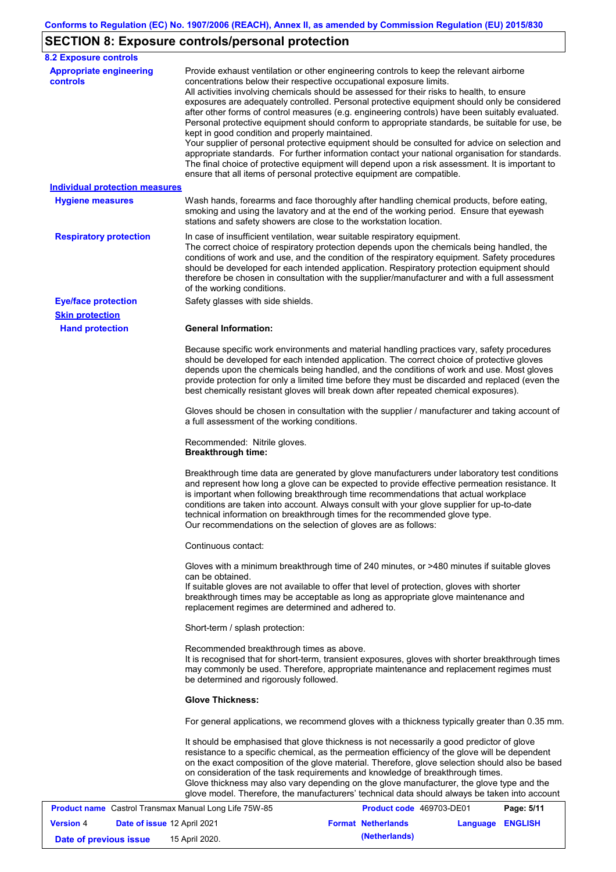# **SECTION 8: Exposure controls/personal protection**

| <b>8.2 Exposure controls</b>                      |                                                                                                                                                                                                                                                                                                                                                                                                                                                                                                                                                                                                                                                                                                                                                                                                                                                                                                                                                                                                         |
|---------------------------------------------------|---------------------------------------------------------------------------------------------------------------------------------------------------------------------------------------------------------------------------------------------------------------------------------------------------------------------------------------------------------------------------------------------------------------------------------------------------------------------------------------------------------------------------------------------------------------------------------------------------------------------------------------------------------------------------------------------------------------------------------------------------------------------------------------------------------------------------------------------------------------------------------------------------------------------------------------------------------------------------------------------------------|
| <b>Appropriate engineering</b><br><b>controls</b> | Provide exhaust ventilation or other engineering controls to keep the relevant airborne<br>concentrations below their respective occupational exposure limits.<br>All activities involving chemicals should be assessed for their risks to health, to ensure<br>exposures are adequately controlled. Personal protective equipment should only be considered<br>after other forms of control measures (e.g. engineering controls) have been suitably evaluated.<br>Personal protective equipment should conform to appropriate standards, be suitable for use, be<br>kept in good condition and properly maintained.<br>Your supplier of personal protective equipment should be consulted for advice on selection and<br>appropriate standards. For further information contact your national organisation for standards.<br>The final choice of protective equipment will depend upon a risk assessment. It is important to<br>ensure that all items of personal protective equipment are compatible. |
| <b>Individual protection measures</b>             |                                                                                                                                                                                                                                                                                                                                                                                                                                                                                                                                                                                                                                                                                                                                                                                                                                                                                                                                                                                                         |
| <b>Hygiene measures</b>                           | Wash hands, forearms and face thoroughly after handling chemical products, before eating,<br>smoking and using the lavatory and at the end of the working period. Ensure that eyewash<br>stations and safety showers are close to the workstation location.                                                                                                                                                                                                                                                                                                                                                                                                                                                                                                                                                                                                                                                                                                                                             |
| <b>Respiratory protection</b>                     | In case of insufficient ventilation, wear suitable respiratory equipment.<br>The correct choice of respiratory protection depends upon the chemicals being handled, the<br>conditions of work and use, and the condition of the respiratory equipment. Safety procedures<br>should be developed for each intended application. Respiratory protection equipment should<br>therefore be chosen in consultation with the supplier/manufacturer and with a full assessment<br>of the working conditions.                                                                                                                                                                                                                                                                                                                                                                                                                                                                                                   |
| <b>Eye/face protection</b>                        | Safety glasses with side shields.                                                                                                                                                                                                                                                                                                                                                                                                                                                                                                                                                                                                                                                                                                                                                                                                                                                                                                                                                                       |
| <b>Skin protection</b>                            |                                                                                                                                                                                                                                                                                                                                                                                                                                                                                                                                                                                                                                                                                                                                                                                                                                                                                                                                                                                                         |
| <b>Hand protection</b>                            | <b>General Information:</b><br>Because specific work environments and material handling practices vary, safety procedures<br>should be developed for each intended application. The correct choice of protective gloves<br>depends upon the chemicals being handled, and the conditions of work and use. Most gloves<br>provide protection for only a limited time before they must be discarded and replaced (even the<br>best chemically resistant gloves will break down after repeated chemical exposures).                                                                                                                                                                                                                                                                                                                                                                                                                                                                                         |
|                                                   | Gloves should be chosen in consultation with the supplier / manufacturer and taking account of<br>a full assessment of the working conditions.                                                                                                                                                                                                                                                                                                                                                                                                                                                                                                                                                                                                                                                                                                                                                                                                                                                          |
|                                                   | Recommended: Nitrile gloves.<br><b>Breakthrough time:</b>                                                                                                                                                                                                                                                                                                                                                                                                                                                                                                                                                                                                                                                                                                                                                                                                                                                                                                                                               |
|                                                   | Breakthrough time data are generated by glove manufacturers under laboratory test conditions<br>and represent how long a glove can be expected to provide effective permeation resistance. It<br>is important when following breakthrough time recommendations that actual workplace<br>conditions are taken into account. Always consult with your glove supplier for up-to-date<br>technical information on breakthrough times for the recommended glove type.<br>Our recommendations on the selection of gloves are as follows:                                                                                                                                                                                                                                                                                                                                                                                                                                                                      |
|                                                   | Continuous contact:                                                                                                                                                                                                                                                                                                                                                                                                                                                                                                                                                                                                                                                                                                                                                                                                                                                                                                                                                                                     |
|                                                   | Gloves with a minimum breakthrough time of 240 minutes, or >480 minutes if suitable gloves<br>can be obtained.<br>If suitable gloves are not available to offer that level of protection, gloves with shorter<br>breakthrough times may be acceptable as long as appropriate glove maintenance and<br>replacement regimes are determined and adhered to.                                                                                                                                                                                                                                                                                                                                                                                                                                                                                                                                                                                                                                                |
|                                                   | Short-term / splash protection:                                                                                                                                                                                                                                                                                                                                                                                                                                                                                                                                                                                                                                                                                                                                                                                                                                                                                                                                                                         |
|                                                   | Recommended breakthrough times as above.<br>It is recognised that for short-term, transient exposures, gloves with shorter breakthrough times<br>may commonly be used. Therefore, appropriate maintenance and replacement regimes must<br>be determined and rigorously followed.                                                                                                                                                                                                                                                                                                                                                                                                                                                                                                                                                                                                                                                                                                                        |
|                                                   | <b>Glove Thickness:</b>                                                                                                                                                                                                                                                                                                                                                                                                                                                                                                                                                                                                                                                                                                                                                                                                                                                                                                                                                                                 |
|                                                   | For general applications, we recommend gloves with a thickness typically greater than 0.35 mm.                                                                                                                                                                                                                                                                                                                                                                                                                                                                                                                                                                                                                                                                                                                                                                                                                                                                                                          |
|                                                   | It should be emphasised that glove thickness is not necessarily a good predictor of glove<br>resistance to a specific chemical, as the permeation efficiency of the glove will be dependent<br>on the exact composition of the glove material. Therefore, glove selection should also be based<br>on consideration of the task requirements and knowledge of breakthrough times.<br>Glove thickness may also vary depending on the glove manufacturer, the glove type and the<br>glove model. Therefore, the manufacturers' technical data should always be taken into account                                                                                                                                                                                                                                                                                                                                                                                                                          |

|                        |                                    | <b>Product name</b> Castrol Transmax Manual Long Life 75W-85 | Product code 469703-DE01  |                  | Page: 5/11 |
|------------------------|------------------------------------|--------------------------------------------------------------|---------------------------|------------------|------------|
| <b>Version 4</b>       | <b>Date of issue 12 April 2021</b> |                                                              | <b>Format Netherlands</b> | Language ENGLISH |            |
| Date of previous issue |                                    | 15 April 2020.                                               | (Netherlands)             |                  |            |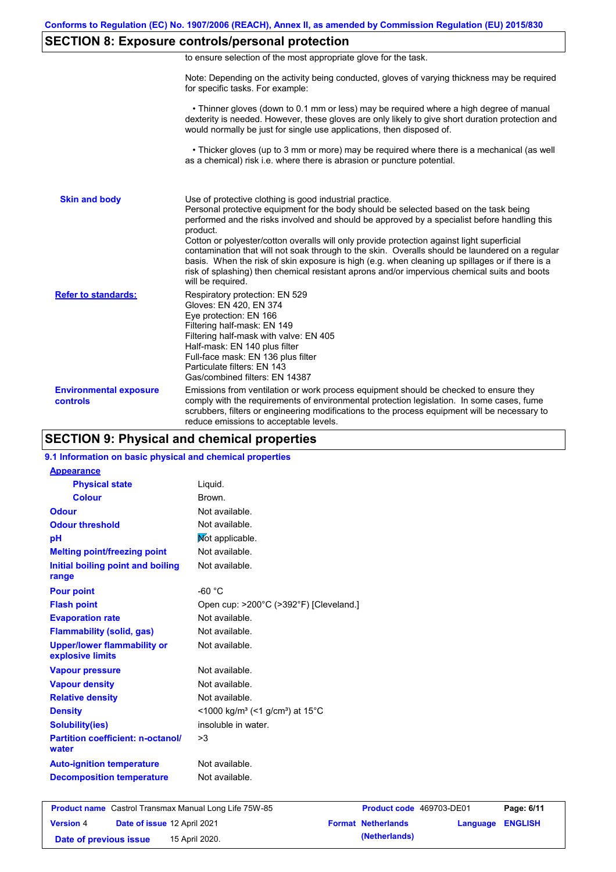# **SECTION 8: Exposure controls/personal protection**

|  | to ensure selection of the most appropriate glove for the task. |  |  |  |  |
|--|-----------------------------------------------------------------|--|--|--|--|
|  |                                                                 |  |  |  |  |

Note: Depending on the activity being conducted, gloves of varying thickness may be required for specific tasks. For example:

 • Thinner gloves (down to 0.1 mm or less) may be required where a high degree of manual dexterity is needed. However, these gloves are only likely to give short duration protection and would normally be just for single use applications, then disposed of.

 • Thicker gloves (up to 3 mm or more) may be required where there is a mechanical (as well as a chemical) risk i.e. where there is abrasion or puncture potential.

| <b>Skin and body</b>                             | Use of protective clothing is good industrial practice.<br>Personal protective equipment for the body should be selected based on the task being<br>performed and the risks involved and should be approved by a specialist before handling this<br>product.<br>Cotton or polyester/cotton overalls will only provide protection against light superficial<br>contamination that will not soak through to the skin. Overalls should be laundered on a regular<br>basis. When the risk of skin exposure is high (e.g. when cleaning up spillages or if there is a<br>risk of splashing) then chemical resistant aprons and/or impervious chemical suits and boots<br>will be required. |
|--------------------------------------------------|---------------------------------------------------------------------------------------------------------------------------------------------------------------------------------------------------------------------------------------------------------------------------------------------------------------------------------------------------------------------------------------------------------------------------------------------------------------------------------------------------------------------------------------------------------------------------------------------------------------------------------------------------------------------------------------|
| <b>Refer to standards:</b>                       | Respiratory protection: EN 529<br>Gloves: EN 420, EN 374<br>Eye protection: EN 166<br>Filtering half-mask: EN 149<br>Filtering half-mask with valve: EN 405<br>Half-mask: EN 140 plus filter<br>Full-face mask: EN 136 plus filter<br>Particulate filters: EN 143<br>Gas/combined filters: EN 14387                                                                                                                                                                                                                                                                                                                                                                                   |
| <b>Environmental exposure</b><br><b>controls</b> | Emissions from ventilation or work process equipment should be checked to ensure they<br>comply with the requirements of environmental protection legislation. In some cases, fume<br>scrubbers, filters or engineering modifications to the process equipment will be necessary to<br>reduce emissions to acceptable levels.                                                                                                                                                                                                                                                                                                                                                         |

### **SECTION 9: Physical and chemical properties**

#### **9.1 Information on basic physical and chemical properties**

| <b>Appearance</b>                                      |                                                                            |
|--------------------------------------------------------|----------------------------------------------------------------------------|
| <b>Physical state</b>                                  | Liquid.                                                                    |
| <b>Colour</b>                                          | Brown.                                                                     |
| Odour                                                  | Not available.                                                             |
| <b>Odour threshold</b>                                 | Not available.                                                             |
| pH                                                     | Not applicable.                                                            |
| <b>Melting point/freezing point</b>                    | Not available.                                                             |
| Initial boiling point and boiling<br>range             | Not available.                                                             |
| <b>Pour point</b>                                      | $-60 °C$                                                                   |
| <b>Flash point</b>                                     | Open cup: >200°C (>392°F) [Cleveland.]                                     |
| <b>Evaporation rate</b>                                | Not available.                                                             |
| <b>Flammability (solid, gas)</b>                       | Not available.                                                             |
| <b>Upper/lower flammability or</b><br>explosive limits | Not available.                                                             |
| <b>Vapour pressure</b>                                 | Not available.                                                             |
| <b>Vapour density</b>                                  | Not available.                                                             |
| <b>Relative density</b>                                | Not available.                                                             |
| <b>Density</b>                                         | $\leq$ 1000 kg/m <sup>3</sup> (<1 g/cm <sup>3</sup> ) at 15 <sup>°</sup> C |
| <b>Solubility(ies)</b>                                 | insoluble in water.                                                        |
| <b>Partition coefficient: n-octanol/</b><br>water      | >3                                                                         |
| <b>Auto-ignition temperature</b>                       | Not available.                                                             |
| <b>Decomposition temperature</b>                       | Not available.                                                             |

**Product name** Castrol Transmax Manual Long Life 75W-85 **Product code** 469703-DE01 **Page: 6/11 Version** 4 **Date of issue** 12 April 2021 **Format Netherlands Language ENGLISH Date of previous issue 15 April 2020. (Netherlands) (Netherlands)**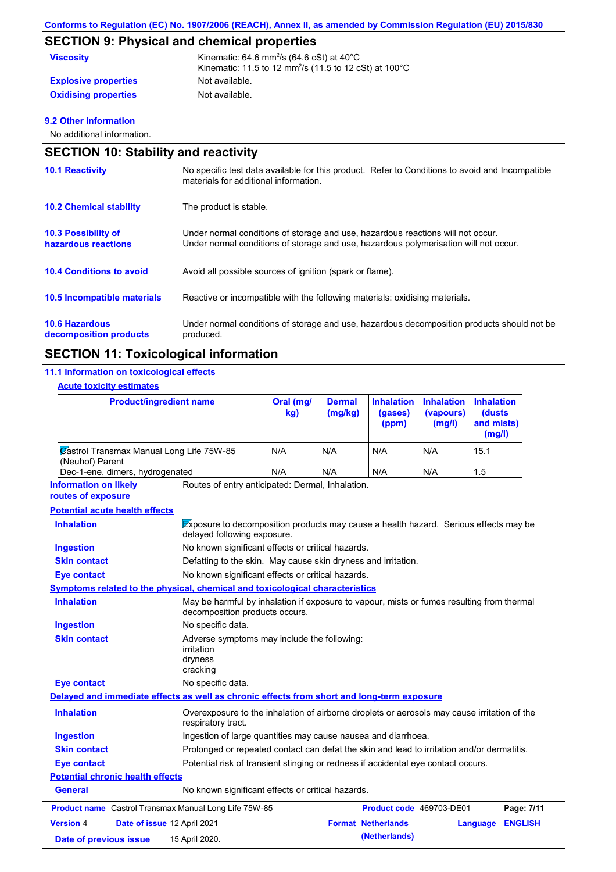# **SECTION 9: Physical and chemical properties**

| <b>Viscosity</b>            | Kinematic: 64.6 mm <sup>2</sup> /s (64.6 cSt) at $40^{\circ}$ C               |
|-----------------------------|-------------------------------------------------------------------------------|
|                             | Kinematic: 11.5 to 12 mm <sup>2</sup> /s (11.5 to 12 cSt) at 100 $^{\circ}$ C |
| <b>Explosive properties</b> | Not available.                                                                |
| <b>Oxidising properties</b> | Not available.                                                                |

### **9.2 Other information**

No additional information.

|                                                   | <b>SECTION 10: Stability and reactivity</b>                                                                                                                             |  |  |  |  |
|---------------------------------------------------|-------------------------------------------------------------------------------------------------------------------------------------------------------------------------|--|--|--|--|
| <b>10.1 Reactivity</b>                            | No specific test data available for this product. Refer to Conditions to avoid and Incompatible<br>materials for additional information.                                |  |  |  |  |
| <b>10.2 Chemical stability</b>                    | The product is stable.                                                                                                                                                  |  |  |  |  |
| <b>10.3 Possibility of</b><br>hazardous reactions | Under normal conditions of storage and use, hazardous reactions will not occur.<br>Under normal conditions of storage and use, hazardous polymerisation will not occur. |  |  |  |  |
| <b>10.4 Conditions to avoid</b>                   | Avoid all possible sources of ignition (spark or flame).                                                                                                                |  |  |  |  |
| <b>10.5 Incompatible materials</b>                | Reactive or incompatible with the following materials: oxidising materials.                                                                                             |  |  |  |  |
| <b>10.6 Hazardous</b><br>decomposition products   | Under normal conditions of storage and use, hazardous decomposition products should not be<br>produced.                                                                 |  |  |  |  |

# **SECTION 11: Toxicological information**

### **11.1 Information on toxicological effects**

### **Acute toxicity estimates**

| <b>Product/ingredient name</b>                              | Oral (mg/<br>kg) | <b>Dermal</b><br>(mg/kg) | <b>Inhalation</b><br>(gases)<br>(ppm) | <b>Inhalation</b><br>(vapours)<br>(mg/l) | <b>Inhalation</b><br>(dusts)<br>and mists)<br>(mg/l) |
|-------------------------------------------------------------|------------------|--------------------------|---------------------------------------|------------------------------------------|------------------------------------------------------|
| Zastrol Transmax Manual Long Life 75W-85<br>(Neuhof) Parent | N/A              | N/A                      | N/A                                   | N/A                                      | 15.1                                                 |
| Dec-1-ene, dimers, hydrogenated                             | N/A              | N/A                      | N/A                                   | N/A                                      | 1.5                                                  |

Routes of entry anticipated: Dermal, Inhalation. **Information on likely** 

#### **routes of exposure**

### **Potential acute health effects**

| <b>Inhalation</b>                       |                             | Exposure to decomposition products may cause a health hazard. Serious effects may be<br>delayed following exposure. |                                                                                                                             |                           |          |                |  |
|-----------------------------------------|-----------------------------|---------------------------------------------------------------------------------------------------------------------|-----------------------------------------------------------------------------------------------------------------------------|---------------------------|----------|----------------|--|
| <b>Ingestion</b>                        |                             |                                                                                                                     | No known significant effects or critical hazards.                                                                           |                           |          |                |  |
| <b>Skin contact</b>                     |                             |                                                                                                                     | Defatting to the skin. May cause skin dryness and irritation.                                                               |                           |          |                |  |
| Eye contact                             |                             | No known significant effects or critical hazards.                                                                   |                                                                                                                             |                           |          |                |  |
|                                         |                             | Symptoms related to the physical, chemical and toxicological characteristics                                        |                                                                                                                             |                           |          |                |  |
| <b>Inhalation</b>                       |                             |                                                                                                                     | May be harmful by inhalation if exposure to vapour, mists or fumes resulting from thermal<br>decomposition products occurs. |                           |          |                |  |
| <b>Ingestion</b>                        |                             | No specific data.                                                                                                   |                                                                                                                             |                           |          |                |  |
| <b>Skin contact</b>                     |                             | Adverse symptoms may include the following:<br>irritation<br>dryness<br>cracking                                    |                                                                                                                             |                           |          |                |  |
| <b>Eye contact</b>                      |                             | No specific data.                                                                                                   |                                                                                                                             |                           |          |                |  |
|                                         |                             | Delayed and immediate effects as well as chronic effects from short and long-term exposure                          |                                                                                                                             |                           |          |                |  |
| <b>Inhalation</b>                       |                             | Overexposure to the inhalation of airborne droplets or aerosols may cause irritation of the<br>respiratory tract.   |                                                                                                                             |                           |          |                |  |
| <b>Ingestion</b>                        |                             | Ingestion of large quantities may cause nausea and diarrhoea.                                                       |                                                                                                                             |                           |          |                |  |
| <b>Skin contact</b>                     |                             |                                                                                                                     | Prolonged or repeated contact can defat the skin and lead to irritation and/or dermatitis.                                  |                           |          |                |  |
| <b>Eye contact</b>                      |                             | Potential risk of transient stinging or redness if accidental eye contact occurs.                                   |                                                                                                                             |                           |          |                |  |
| <b>Potential chronic health effects</b> |                             |                                                                                                                     |                                                                                                                             |                           |          |                |  |
| General                                 |                             | No known significant effects or critical hazards.                                                                   |                                                                                                                             |                           |          |                |  |
|                                         |                             | <b>Product name</b> Castrol Transmax Manual Long Life 75W-85                                                        |                                                                                                                             | Product code 469703-DE01  |          | Page: 7/11     |  |
| <b>Version 4</b>                        | Date of issue 12 April 2021 |                                                                                                                     |                                                                                                                             | <b>Format Netherlands</b> | Language | <b>ENGLISH</b> |  |
| Date of previous issue                  |                             | 15 April 2020.                                                                                                      |                                                                                                                             | (Netherlands)             |          |                |  |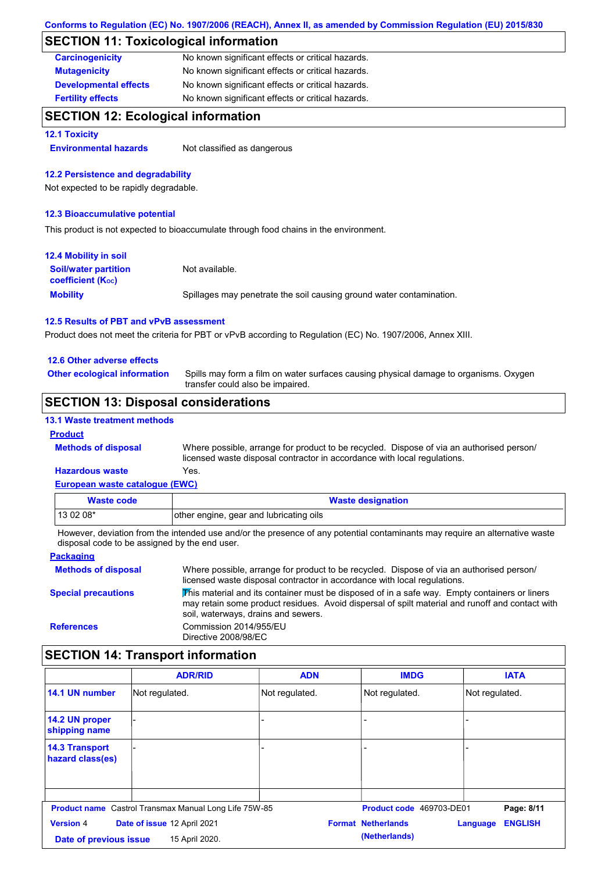## **SECTION 11: Toxicological information**

| <b>Carcinogenicity</b>       | No known significant effects or critical hazards. |
|------------------------------|---------------------------------------------------|
| <b>Mutagenicity</b>          | No known significant effects or critical hazards. |
| <b>Developmental effects</b> | No known significant effects or critical hazards. |
| <b>Fertility effects</b>     | No known significant effects or critical hazards. |

### **SECTION 12: Ecological information**

#### **12.1 Toxicity**

**Environmental hazards** Not classified as dangerous

#### **12.2 Persistence and degradability**

Not expected to be rapidly degradable.

#### **12.3 Bioaccumulative potential**

This product is not expected to bioaccumulate through food chains in the environment.

| <b>12.4 Mobility in soil</b>                            |                                                                      |
|---------------------------------------------------------|----------------------------------------------------------------------|
| <b>Soil/water partition</b><br><b>coefficient (Koc)</b> | Not available.                                                       |
| <b>Mobility</b>                                         | Spillages may penetrate the soil causing ground water contamination. |

### **12.5 Results of PBT and vPvB assessment**

Product does not meet the criteria for PBT or vPvB according to Regulation (EC) No. 1907/2006, Annex XIII.

#### **12.6 Other adverse effects**

**Other ecological information**

Spills may form a film on water surfaces causing physical damage to organisms. Oxygen transfer could also be impaired.

### **SECTION 13: Disposal considerations**

### **13.1 Waste treatment methods**

### **Product**

**Methods of disposal**

Where possible, arrange for product to be recycled. Dispose of via an authorised person/ licensed waste disposal contractor in accordance with local regulations.

#### **European waste catalogue (EWC) Hazardous waste** Yes.

| <u>European muoto cataloguo (ETTO)</u> |                                         |  |  |  |
|----------------------------------------|-----------------------------------------|--|--|--|
| Waste code                             | <b>Waste designation</b>                |  |  |  |
| $130208*$                              | other engine, gear and lubricating oils |  |  |  |

However, deviation from the intended use and/or the presence of any potential contaminants may require an alternative waste disposal code to be assigned by the end user.

#### **Packaging Methods of disposal Special precautions** Where possible, arrange for product to be recycled. Dispose of via an authorised person/ licensed waste disposal contractor in accordance with local regulations.  $\overline{\text{This}}$  material and its container must be disposed of in a safe way. Empty containers or liners may retain some product residues. Avoid dispersal of spilt material and runoff and contact with soil, waterways, drains and sewers. **References** Commission 2014/955/EU Directive 2008/98/EC

### **SECTION 14: Transport information**

|                                           | <b>ADR/RID</b>                                               | <b>ADN</b>     | <b>IMDG</b>               | <b>IATA</b>                |
|-------------------------------------------|--------------------------------------------------------------|----------------|---------------------------|----------------------------|
| 14.1 UN number                            | Not regulated.                                               | Not regulated. | Not regulated.            | Not regulated.             |
| 14.2 UN proper<br>shipping name           |                                                              |                |                           |                            |
| <b>14.3 Transport</b><br>hazard class(es) |                                                              |                |                           |                            |
|                                           |                                                              |                |                           |                            |
|                                           | <b>Product name</b> Castrol Transmax Manual Long Life 75W-85 |                | Product code 469703-DE01  | Page: 8/11                 |
| <b>Version 4</b>                          | Date of issue 12 April 2021                                  |                | <b>Format Netherlands</b> | <b>ENGLISH</b><br>Language |
| Date of previous issue                    | 15 April 2020.                                               |                | (Netherlands)             |                            |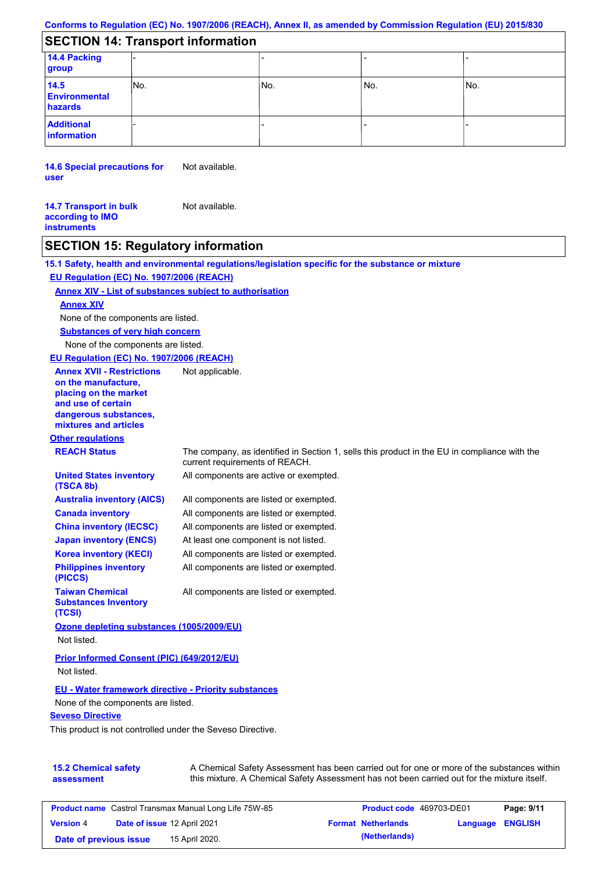# **SECTION 14: Transport information**

| 14.4 Packing<br>group                   |      |     |     |     |  |  |  |
|-----------------------------------------|------|-----|-----|-----|--|--|--|
| 14.5<br><b>Environmental</b><br>hazards | INo. | No. | No. | No. |  |  |  |
| <b>Additional</b><br>information        |      |     |     |     |  |  |  |

**14.6 Special precautions for user** Not available.

**14.7 Transport in bulk according to IMO instruments** Not available.

### **SECTION 15: Regulatory information**

**Other regulations REACH Status** The company, as identified in Section 1, sells this product in the EU in compliance with the current requirements of REACH. **15.1 Safety, health and environmental regulations/legislation specific for the substance or mixture EU Regulation (EC) No. 1907/2006 (REACH) Annex XIV - List of substances subject to authorisation 15.2 Chemical safety assessment Substances of very high concern** None of the components are listed. All components are listed or exempted. All components are listed or exempted. All components are listed or exempted. At least one component is not listed. All components are active or exempted. All components are listed or exempted. All components are listed or exempted. **United States inventory (TSCA 8b) Australia inventory (AICS) Canada inventory China inventory (IECSC) Japan inventory (ENCS) Korea inventory (KECI) Philippines inventory (PICCS) Taiwan Chemical Substances Inventory (TCSI)** All components are listed or exempted. **Ozone depleting substances (1005/2009/EU)** Not listed. **Prior Informed Consent (PIC) (649/2012/EU)** Not listed. **Seveso Directive** This product is not controlled under the Seveso Directive. A Chemical Safety Assessment has been carried out for one or more of the substances within this mixture. A Chemical Safety Assessment has not been carried out for the mixture itself. None of the components are listed. **Annex XIV EU - Water framework directive - Priority substances** None of the components are listed. **EU Regulation (EC) No. 1907/2006 (REACH) Annex XVII - Restrictions on the manufacture, placing on the market and use of certain dangerous substances, mixtures and articles** Not applicable.

| <b>Product name</b> Castrol Transmax Manual Long Life 75W-85 |  | <b>Product code</b> 469703-DE01 |  | Page: 9/11                |                         |  |
|--------------------------------------------------------------|--|---------------------------------|--|---------------------------|-------------------------|--|
| <b>Version 4</b>                                             |  | Date of issue 12 April 2021     |  | <b>Format Netherlands</b> | <b>Language ENGLISH</b> |  |
| Date of previous issue                                       |  | 15 April 2020.                  |  | (Netherlands)             |                         |  |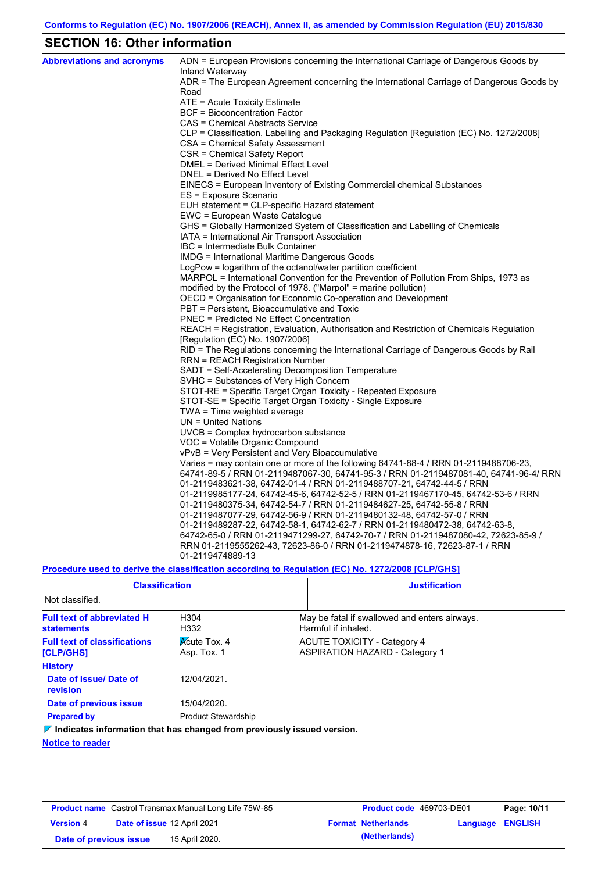# **SECTION 16: Other information**

| <b>Abbreviations and acronyms</b> | ADN = European Provisions concerning the International Carriage of Dangerous Goods by<br>Inland Waterway |
|-----------------------------------|----------------------------------------------------------------------------------------------------------|
|                                   | ADR = The European Agreement concerning the International Carriage of Dangerous Goods by<br>Road         |
|                                   | ATE = Acute Toxicity Estimate                                                                            |
|                                   | BCF = Bioconcentration Factor                                                                            |
|                                   | CAS = Chemical Abstracts Service                                                                         |
|                                   | CLP = Classification, Labelling and Packaging Regulation [Regulation (EC) No. 1272/2008]                 |
|                                   | CSA = Chemical Safety Assessment                                                                         |
|                                   | CSR = Chemical Safety Report                                                                             |
|                                   | DMEL = Derived Minimal Effect Level                                                                      |
|                                   | DNEL = Derived No Effect Level                                                                           |
|                                   | EINECS = European Inventory of Existing Commercial chemical Substances                                   |
|                                   | ES = Exposure Scenario                                                                                   |
|                                   | EUH statement = CLP-specific Hazard statement                                                            |
|                                   | EWC = European Waste Catalogue                                                                           |
|                                   | GHS = Globally Harmonized System of Classification and Labelling of Chemicals                            |
|                                   | IATA = International Air Transport Association                                                           |
|                                   | IBC = Intermediate Bulk Container                                                                        |
|                                   | IMDG = International Maritime Dangerous Goods                                                            |
|                                   | LogPow = logarithm of the octanol/water partition coefficient                                            |
|                                   | MARPOL = International Convention for the Prevention of Pollution From Ships, 1973 as                    |
|                                   | modified by the Protocol of 1978. ("Marpol" = marine pollution)                                          |
|                                   | OECD = Organisation for Economic Co-operation and Development                                            |
|                                   | PBT = Persistent, Bioaccumulative and Toxic                                                              |
|                                   | <b>PNEC = Predicted No Effect Concentration</b>                                                          |
|                                   | REACH = Registration, Evaluation, Authorisation and Restriction of Chemicals Regulation                  |
|                                   | [Regulation (EC) No. 1907/2006]                                                                          |
|                                   | RID = The Regulations concerning the International Carriage of Dangerous Goods by Rail                   |
|                                   | <b>RRN = REACH Registration Number</b>                                                                   |
|                                   | SADT = Self-Accelerating Decomposition Temperature                                                       |
|                                   | SVHC = Substances of Very High Concern                                                                   |
|                                   | STOT-RE = Specific Target Organ Toxicity - Repeated Exposure                                             |
|                                   | STOT-SE = Specific Target Organ Toxicity - Single Exposure                                               |
|                                   | TWA = Time weighted average                                                                              |
|                                   | $UN = United Nations$                                                                                    |
|                                   | UVCB = Complex hydrocarbon substance                                                                     |
|                                   | VOC = Volatile Organic Compound                                                                          |
|                                   | vPvB = Very Persistent and Very Bioaccumulative                                                          |
|                                   | Varies = may contain one or more of the following $64741-88-4$ / RRN 01-2119488706-23,                   |
|                                   | 64741-89-5 / RRN 01-2119487067-30, 64741-95-3 / RRN 01-2119487081-40, 64741-96-4/ RRN                    |
|                                   | 01-2119483621-38, 64742-01-4 / RRN 01-2119488707-21, 64742-44-5 / RRN                                    |
|                                   | 01-2119985177-24, 64742-45-6, 64742-52-5 / RRN 01-2119467170-45, 64742-53-6 / RRN                        |
|                                   | 01-2119480375-34, 64742-54-7 / RRN 01-2119484627-25, 64742-55-8 / RRN                                    |
|                                   | 01-2119487077-29, 64742-56-9 / RRN 01-2119480132-48, 64742-57-0 / RRN                                    |
|                                   | 01-2119489287-22, 64742-58-1, 64742-62-7 / RRN 01-2119480472-38, 64742-63-8,                             |
|                                   | 64742-65-0 / RRN 01-2119471299-27, 64742-70-7 / RRN 01-2119487080-42, 72623-85-9 /                       |
|                                   | RRN 01-2119555262-43, 72623-86-0 / RRN 01-2119474878-16, 72623-87-1 / RRN                                |
|                                   | 01-2119474889-13                                                                                         |

**Procedure used to derive the classification according to Regulation (EC) No. 1272/2008 [CLP/GHS]**

| <b>Classification</b>                                                                  |                                    | <b>Justification</b>                                                        |
|----------------------------------------------------------------------------------------|------------------------------------|-----------------------------------------------------------------------------|
| Not classified.                                                                        |                                    |                                                                             |
| <b>Full text of abbreviated H</b><br><b>statements</b>                                 | H <sub>304</sub><br>H332           | May be fatal if swallowed and enters airways.<br>Harmful if inhaled.        |
| <b>Full text of classifications</b><br>[CLP/GHS]                                       | <b>Acute Tox. 4</b><br>Asp. Tox. 1 | <b>ACUTE TOXICITY - Category 4</b><br><b>ASPIRATION HAZARD - Category 1</b> |
| <b>History</b>                                                                         |                                    |                                                                             |
| Date of issue/Date of<br>revision                                                      | 12/04/2021                         |                                                                             |
| Date of previous issue                                                                 | 15/04/2020.                        |                                                                             |
| <b>Prepared by</b>                                                                     | <b>Product Stewardship</b>         |                                                                             |
| $\triangledown$ Indicates information that has changed from previously issued version. |                                    |                                                                             |

**Notice to reader**

| <b>Product name</b> Castrol Transmax Manual Long Life 75W-85 |  | <b>Product code</b> 469703-DE01 |  | Page: 10/11               |                  |  |
|--------------------------------------------------------------|--|---------------------------------|--|---------------------------|------------------|--|
| <b>Version 4</b>                                             |  | Date of issue 12 April 2021     |  | <b>Format Netherlands</b> | Language ENGLISH |  |
| Date of previous issue                                       |  | 15 April 2020.                  |  | (Netherlands)             |                  |  |